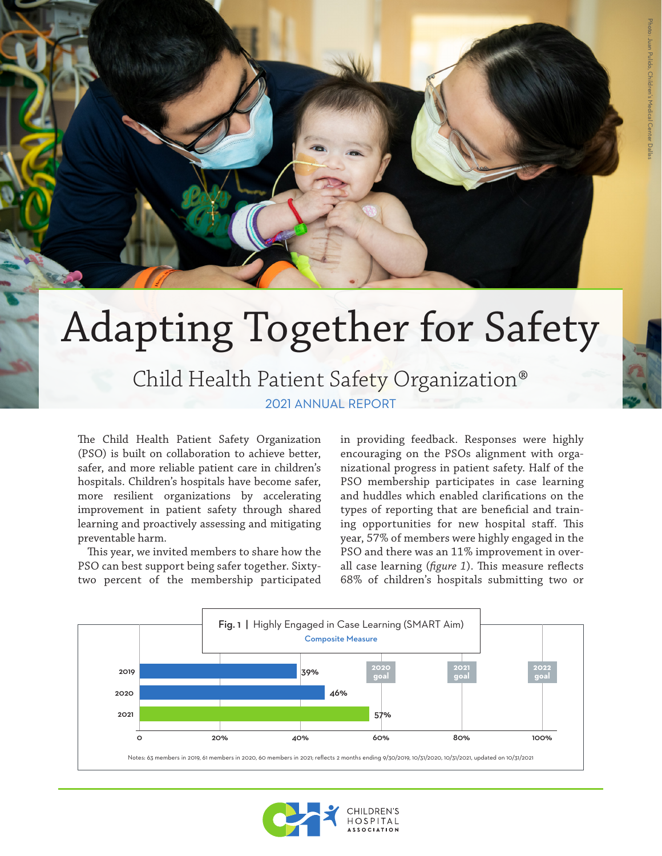## Adapting Together for Safety 2021 ANNUAL REPORT Child Health Patient Safety Organization®

The Child Health Patient Safety Organization (PSO) is built on collaboration to achieve better, safer, and more reliable patient care in children's hospitals. Children's hospitals have become safer, more resilient organizations by accelerating improvement in patient safety through shared learning and proactively assessing and mitigating preventable harm.

This year, we invited members to share how the PSO can best support being safer together. Sixtytwo percent of the membership participated in providing feedback. Responses were highly encouraging on the PSOs alignment with organizational progress in patient safety. Half of the PSO membership participates in case learning and huddles which enabled clarifications on the types of reporting that are beneficial and training opportunities for new hospital staff. This year, 57% of members were highly engaged in the PSO and there was an 11% improvement in overall case learning (*figure 1*). This measure reflects 68% of children's hospitals submitting two or